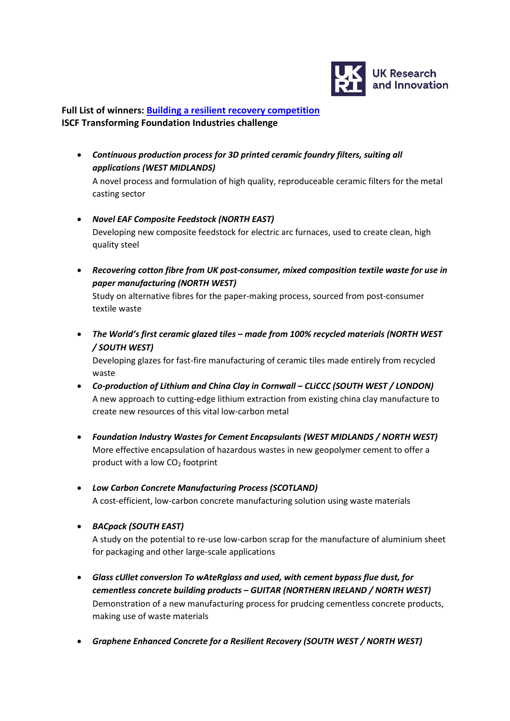

## **Full List of winners: [Building a resilient recovery competition](https://www.ukri.org/opportunity/iscf-transforming-foundation-industries-building-a-resilient-recovery/) ISCF Transforming Foundation Industries challenge**

• *Continuous production process for 3D printed ceramic foundry filters, suiting all applications (WEST MIDLANDS)*

A novel process and formulation of high quality, reproduceable ceramic filters for the metal casting sector

- *Novel EAF Composite Feedstock (NORTH EAST)* Developing new composite feedstock for electric arc furnaces, used to create clean, high quality steel
- *Recovering cotton fibre from UK post-consumer, mixed composition textile waste for use in paper manufacturing (NORTH WEST)*

Study on alternative fibres for the paper-making process, sourced from post-consumer textile waste

• *The World's first ceramic glazed tiles – made from 100% recycled materials (NORTH WEST / SOUTH WEST)*

Developing glazes for fast-fire manufacturing of ceramic tiles made entirely from recycled waste

- *Co-production of Lithium and China Clay in Cornwall – CLiCCC (SOUTH WEST / LONDON)* A new approach to cutting-edge lithium extraction from existing china clay manufacture to create new resources of this vital low-carbon metal
- *Foundation Industry Wastes for Cement Encapsulants (WEST MIDLANDS / NORTH WEST)* More effective encapsulation of hazardous wastes in new geopolymer cement to offer a product with a low  $CO<sub>2</sub>$  footprint
- *Low Carbon Concrete Manufacturing Process (SCOTLAND)* A cost-efficient, low-carbon concrete manufacturing solution using waste materials
- *BACpack (SOUTH EAST)*

A study on the potential to re-use low-carbon scrap for the manufacture of aluminium sheet for packaging and other large-scale applications

- *Glass cUllet conversIon To wAteRglass and used, with cement bypass flue dust, for cementless concrete building products – GUITAR (NORTHERN IRELAND / NORTH WEST)* Demonstration of a new manufacturing process for prudcing cementless concrete products, making use of waste materials
- *Graphene Enhanced Concrete for a Resilient Recovery (SOUTH WEST / NORTH WEST)*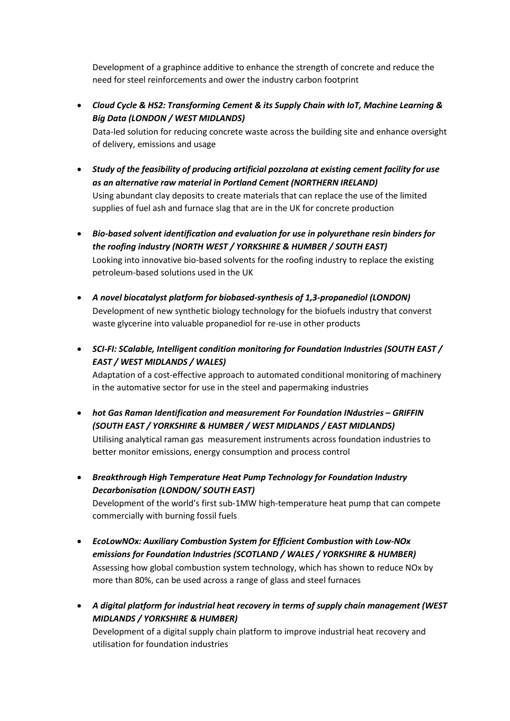Development of a graphince additive to enhance the strength of concrete and reduce the need for steel reinforcements and ower the industry carbon footprint

• *Cloud Cycle & HS2: Transforming Cement & its Supply Chain with IoT, Machine Learning & Big Data (LONDON / WEST MIDLANDS)*

Data-led solution for reducing concrete waste across the building site and enhance oversight of delivery, emissions and usage

- *Study of the feasibility of producing artificial pozzolana at existing cement facility for use as an alternative raw material in Portland Cement (NORTHERN IRELAND)* Using abundant clay deposits to create materials that can replace the use of the limited supplies of fuel ash and furnace slag that are in the UK for concrete production
- *Bio-based solvent identification and evaluation for use in polyurethane resin binders for the roofing industry (NORTH WEST / YORKSHIRE & HUMBER / SOUTH EAST)* Looking into innovative bio-based solvents for the roofing industry to replace the existing petroleum-based solutions used in the UK
- *A novel biocatalyst platform for biobased-synthesis of 1,3-propanediol (LONDON)* Development of new synthetic biology technology for the biofuels industry that converst waste glycerine into valuable propanediol for re-use in other products
- *SCI-FI: SCalable, Intelligent condition monitoring for Foundation Industries (SOUTH EAST / EAST / WEST MIDLANDS / WALES)*

Adaptation of a cost-effective approach to automated conditional monitoring of machinery in the automative sector for use in the steel and papermaking industries

- *hot Gas Raman Identification and measurement For Foundation INdustries – GRIFFIN (SOUTH EAST / YORKSHIRE & HUMBER / WEST MIDLANDS / EAST MIDLANDS)* Utilising analytical raman gas measurement instruments across foundation industries to better monitor emissions, energy consumption and process control
- *Breakthrough High Temperature Heat Pump Technology for Foundation Industry Decarbonisation (LONDON/ SOUTH EAST)*

Development of the world's first sub-1MW high-temperature heat pump that can compete commercially with burning fossil fuels

- *EcoLowNOx: Auxiliary Combustion System for Efficient Combustion with Low-NOx emissions for Foundation Industries (SCOTLAND / WALES / YORKSHIRE & HUMBER)* Assessing how global combustion system technology, which has shown to reduce NOx by more than 80%, can be used across a range of glass and steel furnaces
- *A digital platform for industrial heat recovery in terms of supply chain management (WEST MIDLANDS / YORKSHIRE & HUMBER)*

Development of a digital supply chain platform to improve industrial heat recovery and utilisation for foundation industries